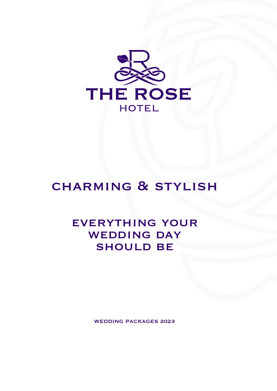

# **CHARMING & STYLISH**

## everything your WEDDING DAY **SHOULD BE**

WEDDING PACKAGES 2023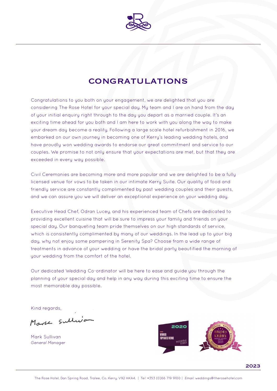

## **CONGRATULATIONS**

Congratulations to you both on your engagement, we are delighted that you are considering The Rose Hotel for your special day. My team and I are on hand from the day of your initial enquiry right through to the day you depart as a married couple. It's an exciting time ahead for you both and I am here to work with you along the way to make your dream day become a reality. Following a large scale hotel refurbishment in 2016, we embarked on our own journey in becoming one of Kerry's leading wedding hotels, and have proudly won wedding awards to endorse our great commitment and service to our couples. We promise to not only ensure that your expectations are met, but that they are exceeded in every way possible.

Civil Ceremonies are becoming more and more popular and we are delighted to be a fully licensed venue for vows to be taken in our intimate Kerry Suite. Our quality of food and friendly service are constantly complimented by past wedding couples and their guests, and we can assure you we will deliver an exceptional experience on your wedding day.

Executive Head Chef, Odran Lucey, and his experienced team of Chefs are dedicated to providing excellent cuisine that will be sure to impress your family and friends on your special day. Our banqueting team pride themselves on our high standards of service, which is consistently complimented by many of our weddings. In the lead up to your big day, why not enjoy some pampering in Serenity Spa? Choose from a wide range of treatments in advance of your wedding or have the bridal party beautified the morning of your wedding from the comfort of the hotel.

Our dedicated Wedding Co-ordinator will be here to ease and guide you through the planning of your special day and help in any way during this exciting time to ensure the most memorable day possible.

Kind regards,

Mark Sullivo

Mark Sullivan *General Manager*



2023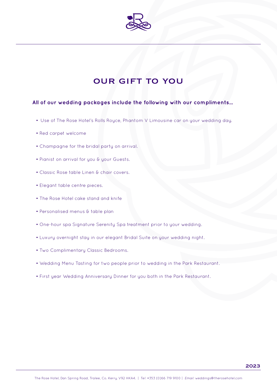

## our gift to you

## **All of our wedding packages include the following with our compliments...**

- Use of The Rose Hotel's Rolls Royce, Phantom V Limousine car on your wedding day.
- Red carpet welcome
- Champagne for the bridal party on arrival.
- Pianist on arrival for you & your Guests.
- Classic Rose table Linen & chair covers.
- Elegant table centre pieces.
- The Rose Hotel cake stand and knife
- Personalised menus & table plan
- One-hour spa Signature Serenity Spa treatment prior to your wedding.
- Luxury overnight stay in our elegant Bridal Suite on your wedding night.
- Two Complimentary Classic Bedrooms.
- Wedding Menu Tasting for two people prior to wedding in the Park Restaurant.
- First year Wedding Anniversary Dinner for you both in the Park Restaurant.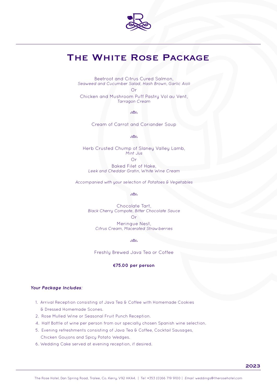

## THE WHITE ROSE PACKAGE

Beetroot and Citrus Cured Salmon, *Seaweed and Cucumber Salad, Hash Brown, Garlic Aioli* Or

Chicken and Mushroom Puff Pastry Vol au Vent, *Tarragon Cream*

older

Cream of Carrot and Coriander Soup

calco.

Herb Crusted Chump of Slaney Valley Lamb, *Mint Jus* Or

Baked Filet of Hake, *Leek and Cheddar Gratin, White Wine Cream* 

*Accompanied with your selection of Potatoes & Vegetables*

 $\frac{1}{2}$ 

Chocolate Tart, *Black Cherry Compote, Bitter Chocolate Sauce* Or Meringue Nest, *Citrus Cream, Macerated Strawberries* 

colco.

Freshly Brewed Java Tea or Coffee

#### **€75.00 per person**

- 1. Arrival Reception consisting of Java Tea & Coffee with Homemade Cookies & Dressed Homemade Scones.
- 2. Rose Mulled Wine or Seasonal Fruit Punch Reception.
- 4. Half Bottle of wine per person from our specially chosen Spanish wine selection.
- 5. Evening refreshments consisting of Java Tea & Coffee, Cocktail Sausages, Chicken Goujons and Spicy Potato Wedges.
- 6. Wedding Cake served at evening reception, if desired.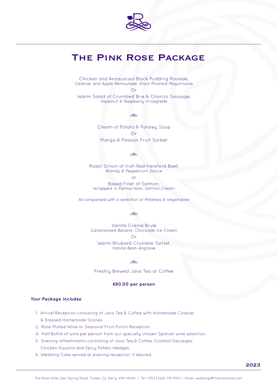

## The Pink Rose Package

Chicken and Annauscaul Black Pudding Roulade, *Celeriac and Apple Remoulade, Grain Mustard Mayonnaise* 

Or

Warm Salad of Crumbed Brie & Chorizo Sausage, *Hazelnut & Raspberry Vinaigrette*

 $\mathcal{E}$ 

Cream of Potato & Parsley Soup Or Mango & Passion Fruit Sorbet

 $\frac{1}{2}$ 

Roast Sirloin of Irish Red Hereford Beef, *Brandy & Peppercorn Sauce*

or

Baked Fillet of Salmon, *Wrapped in Parma Ham, Saffron Cream*

*Accompanied with a selection of Potatoes & Vegetables*

 $\mathcal{S}^{\text{loc}}_{\text{loc}}$ 

Vanilla Crème Brulé *Caramelised Banana, Chocolate Ice Cream* Or Warm Rhubarb Crumble Tartlet, *Vanilla Bean Anglaise* 

 $\mathcal{S}^{\text{M}}_{\text{M}}$ 

Freshly Brewed Java Tea or Coffee

#### **€80.00 per person**

- 1. Arrival Reception consisting of Java Tea & Coffee with Homemade Cookies & Dressed Homemade Scones.
- 2. Rose Mulled Wine or Seasonal Fruit Punch Reception.
- 4. Half Bottle of wine per person from our specially chosen Spanish wine selection.
- 5. Evening refreshments consisting of Java Tea & Coffee, Cocktail Sausages, Chicken Goujons and Spicy Potato Wedges.
- 6. Wedding Cake served at evening reception, if desired.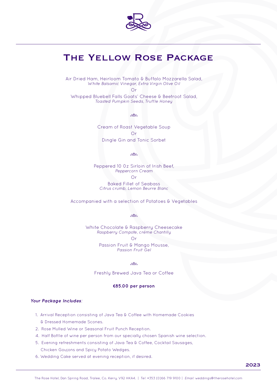

## The Yellow Rose Package

Air Dried Ham, Heirloom Tomato & Buffalo Mozzarella Salad, *White Balsamic Vinegar, Extra Virgin Olive Oil*

Or

Whipped Bluebell Falls Goats' Cheese & Beetroot Salad, *Toasted Pumpkin Seeds, Truffle Honey* 

 $\mathcal{E}$ 

Cream of Roast Vegetable Soup Or Dingle Gin and Tonic Sorbet

 $\frac{1}{2}$ 

Peppered 10 0z Sirloin of Irish Beef, *Peppercorn Cream* 

Or

Baked Fillet of Seabass *Citrus crumb, Lemon Beurre Blanc*

Accompanied with a selection of Potatoes & Vegetables

and and and a

White Chocolate & Raspberry Cheesecake *Raspberry Compote, crème Chantilly*  Or Passion Fruit & Mango Mousse, *Passion Fruit Gel*

**Solder** 

Freshly Brewed Java Tea or Coffee

#### **€85.00 per person**

- 1. Arrival Reception consisting of Java Tea & Coffee with Homemade Cookies & Dressed Homemade Scones.
- 2. Rose Mulled Wine or Seasonal Fruit Punch Reception.
- 4. Half Bottle of wine per person from our specially chosen Spanish wine selection.
- 5. Evening refreshments consisting of Java Tea & Coffee, Cocktail Sausages, Chicken Goujons and Spicy Potato Wedges.
- 6. Wedding Cake served at evening reception, if desired.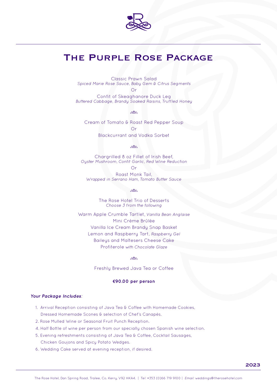

## The Purple Rose Package

Classic Prawn Salad *Spiced Marie Rose Sauce, Baby Gem & Citrus Segments* Or

Confit of Skeaghanore Duck Leg *Buttered Cabbage, Brandy Soaked Raisins, Truffled Honey*

 $\frac{1}{2}$ 

Cream of Tomato & Roast Red Pepper Soup Or Blackcurrant and Vodka Sorbet

 $\mathcal{E}$ 

Chargrilled 8 oz Fillet of Irish Beef, *Oyster Mushroom, Confit Garlic, Red Wine Reduction*

Or

Roast Monk Tail, *Wrapped in Serrano Ham, Tomato Butter Sauce*

ente de la composición de la composición de la composición de la composición de la composición de la composici<br>La composición de la composición de la composición de la composición de la composición de la composición de la

The Rose Hotel Trio of Desserts *Choose 3 from the following*

Warm Apple Crumble Tartlet, *Vanilla Bean Anglaise* Mini Crème Brûlée Vanilla Ice Cream Brandy Snap Basket Lemon and Raspberry Tart, *Raspberry Gel* Baileys and Maltesers Cheese Cake Profiterole *with Chocolate Glaze*

oslen

Freshly Brewed Java Tea or Coffee

### **€90.00 per person**

- 1. Arrival Reception consisting of Java Tea & Coffee with Homemade Cookies, Dressed Homemade Scones & selection of Chef's Canapés.
- 2. Rose Mulled Wine or Seasonal Fruit Punch Reception.
- 4. Half Bottle of wine per person from our specially chosen Spanish wine selection.
- 5. Evening refreshments consisting of Java Tea & Coffee, Cocktail Sausages, Chicken Goujons and Spicy Potato Wedges.
- 6. Wedding Cake served at evening reception, if desired.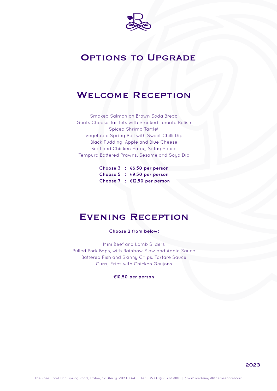

## **OPTIONS TO UPGRADE**

## Welcome Reception

Smoked Salmon on Brown Soda Bread Goats Cheese Tartlets with Smoked Tomato Relish Spiced Shrimp Tartlet Vegetable Spring Roll with Sweet Chilli Dip Black Pudding, Apple and Blue Cheese Beef and Chicken Satay, Satay Sauce Tempura Battered Prawns, Sesame and Soya Dip

> **Choose 3 :** €**6.50 per person Choose 5 :** €**9.50 per person Choose 7 :** €**12.50 per person**

## Evening Reception

### **Choose 2 from below:**

Mini Beef and Lamb Sliders Pulled Pork Baps, with Rainbow Slaw and Apple Sauce Battered Fish and Skinny Chips, Tartare Sauce Curry Fries with Chicken Goujons

### **€10.50 per person**